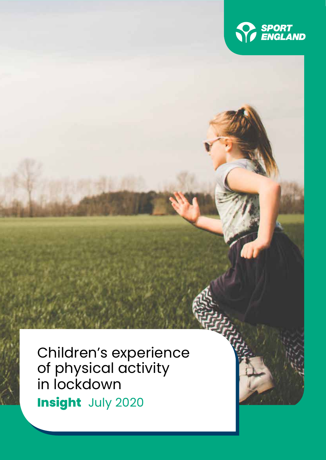

Children's experience of physical activity in lockdown **Insight** July 2020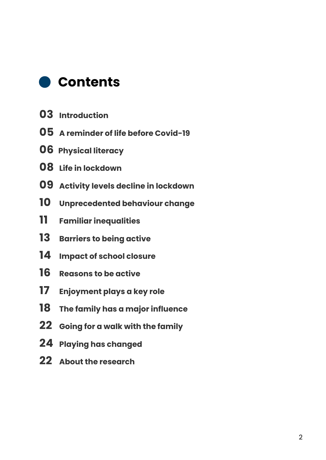

- **Introduction**
- **A reminder of life before Covid-19**
- **06 Physical literacy**
- **Life in lockdown**
- **Activity levels decline in lockdown**
- **Unprecedented behaviour change**
- **Familiar inequalities**
- **Barriers to being active**
- **Impact of school closure**
- **Reasons to be active**
- **Enjoyment plays a key role**
- **The family has a major influence**
- **Going for a walk with the family**
- **Playing has changed**
- **About the research**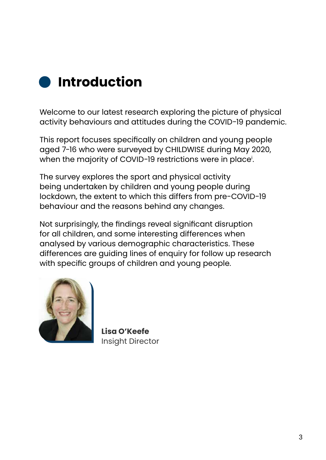

Welcome to our latest research exploring the picture of physical activity behaviours and attitudes during the COVID-19 pandemic.

This report focuses specifically on children and young people aged 7-16 who were surveyed by CHILDWISE during May 2020, when the majority of COVID-19 restrictions were in place'.

The survey explores the sport and physical activity being undertaken by children and young people during lockdown, the extent to which this differs from pre-COVID-19 behaviour and the reasons behind any changes.

Not surprisingly, the findings reveal significant disruption for all children, and some interesting differences when analysed by various demographic characteristics. These differences are guiding lines of enquiry for follow up research with specific groups of children and young people.



**Lisa O'Keefe** Insight Director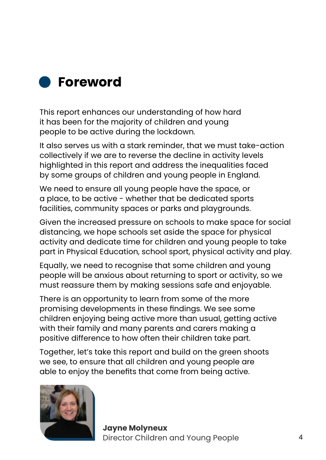

This report enhances our understanding of how hard it has been for the majority of children and young people to be active during the lockdown.

It also serves us with a stark reminder, that we must take-action collectively if we are to reverse the decline in activity levels highlighted in this report and address the inequalities faced by some groups of children and young people in England.

We need to ensure all young people have the space, or a place, to be active - whether that be dedicated sports facilities, community spaces or parks and playgrounds.

Given the increased pressure on schools to make space for social distancing, we hope schools set aside the space for physical activity and dedicate time for children and young people to take part in Physical Education, school sport, physical activity and play.

Equally, we need to recognise that some children and young people will be anxious about returning to sport or activity, so we must reassure them by making sessions safe and enjoyable.

There is an opportunity to learn from some of the more promising developments in these findings. We see some children enjoying being active more than usual, getting active with their family and many parents and carers making a positive difference to how often their children take part.

Together, let's take this report and build on the green shoots we see, to ensure that all children and young people are able to enjoy the benefits that come from being active.

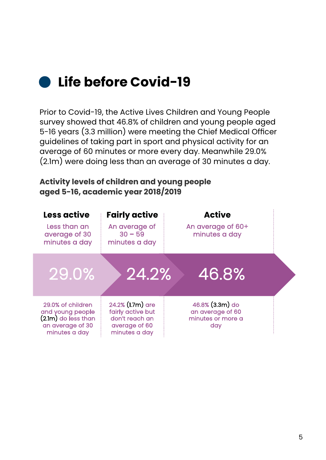## **Life before Covid-19**

Prior to Covid-19, the Active Lives Children and Young People survey showed that 46.8% of children and young people aged 5-16 years (3.3 million) were meeting the Chief Medical Officer guidelines of taking part in sport and physical activity for an average of 60 minutes or more every day. Meanwhile 29.0% (2.1m) were doing less than an average of 30 minutes a day.

### **Activity levels of children and young people aged 5-16, academic year 2018/2019**

| Less active<br>Less than an<br>average of 30<br>minutes a day                                       | <b>Fairly active</b><br>An average of<br>$30 - 59$<br>minutes a day                       | <b>Active</b><br>An average of 60+<br>minutes a day             |  |
|-----------------------------------------------------------------------------------------------------|-------------------------------------------------------------------------------------------|-----------------------------------------------------------------|--|
| 29.0%                                                                                               | 24.2%<br>46.8%                                                                            |                                                                 |  |
| 29.0% of children<br>and young people<br>$(2.1m)$ do less than<br>an average of 30<br>minutes a day | 24.2% (1.7m) are<br>fairly active but<br>don't reach an<br>average of 60<br>minutes a day | 46.8% (3.3m) do<br>an average of 60<br>minutes or more a<br>day |  |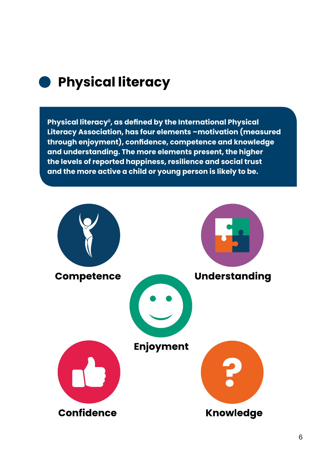

### **Physical literacy**

**Physical literacyii, as defined by the International Physical Literacy Association, has four elements –motivation (measured through enjoyment), confidence, competence and knowledge and understanding. The more elements present, the higher the levels of reported happiness, resilience and social trust and the more active a child or young person is likely to be.**

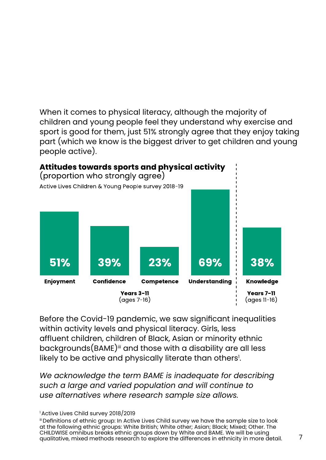When it comes to physical literacy, although the majority of children and young people feel they understand why exercise and sport is good for them, just 51% strongly agree that they enjoy taking part (which we know is the biggest driver to get children and young people active).



Before the Covid-19 pandemic, we saw significant inequalities within activity levels and physical literacy. Girls, less affluent children, children of Black, Asian or minority ethnic backgrounds(BAME)<sup>iii</sup> and those with a disability are all less likely to be active and physically literate than others<sup>1</sup>.

*We acknowledge the term BAME is inadequate for describing such a large and varied population and will continue to use alternatives where research sample size allows.*

<sup>1</sup> Active Lives Child survey 2018/2019

iii Definitions of ethnic group: In Active Lives Child survey we have the sample size to look at the following ethnic groups: White British; White other; Asian; Black; Mixed; Other. The CHILDWISE omnibus breaks ethnic groups down by White and BAME. We will be using qualitative, mixed methods research to explore the differences in ethnicity in more detail.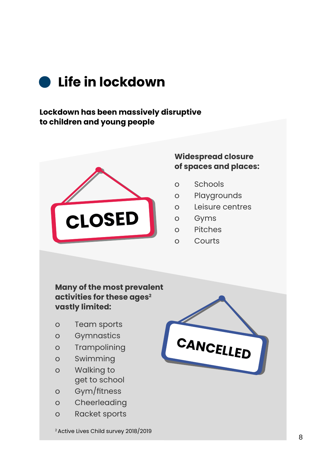

### **Lockdown has been massively disruptive to children and young people**



### **Widespread closure of spaces and places:**

- o Schools
- o Playgrounds
- o Leisure centres
- o Gyms
- o Pitches
- o Courts

### **Many of the most prevalent activities for these ages2 vastly limited:**

- o Team sports
- o Gymnastics
- o Trampolining
- o Swimming
- o Walking to get to school
- o Gym/fitness
- o Cheerleading
- o Racket sports

2 Active Lives Child survey 2018/2019

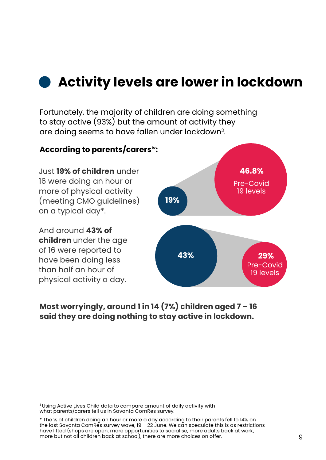### **Activity levels are lower in lockdown**

Fortunately, the majority of children are doing something to stay active (93%) but the amount of activity they are doing seems to have fallen under lockdown3.



**Most worryingly, around 1 in 14 (7%) children aged 7 – 16 said they are doing nothing to stay active in lockdown.**

3 Using Active Lives Child data to compare amount of daily activity with what parents/carers tell us In Savanta ComRes survey.

\* The % of children doing an hour or more a day according to their parents fell to 14% on the last Savanta ComRes survey wave,  $19 - 22$  June. We can speculate this is as restrictions have lifted (shops are open, more opportunities to socialise, more adults back at work, more but not all children back at school), there are more choices on offer.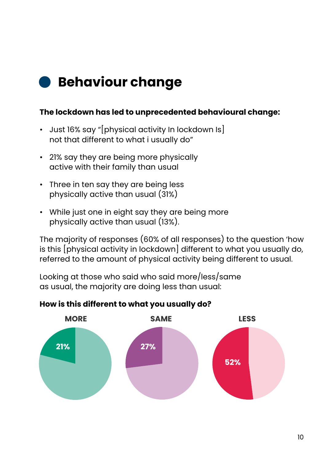# **Behaviour change**

### **The lockdown has led to unprecedented behavioural change:**

- Just 16% say "[physical activity In lockdown Is] not that different to what i usually do"
- 21% say they are being more physically active with their family than usual
- Three in ten say they are being less physically active than usual (31%)
- While just one in eight say they are being more physically active than usual (13%).

The majority of responses (60% of all responses) to the question 'how is this [physical activity in lockdown] different to what you usually do, referred to the amount of physical activity being different to usual.

Looking at those who said who said more/less/same as usual, the majority are doing less than usual:

### **How is this different to what you usually do?**

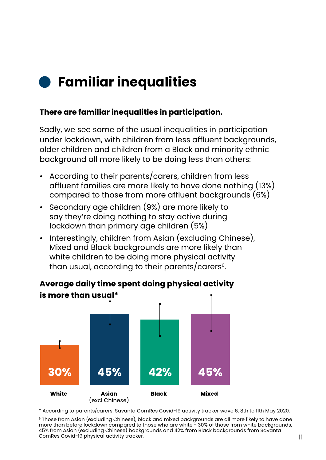# **Familiar inequalities**

### **There are familiar inequalities in participation.**

Sadly, we see some of the usual inequalities in participation under lockdown, with children from less affluent backgrounds, older children and children from a Black and minority ethnic background all more likely to be doing less than others:

- According to their parents/carers, children from less affluent families are more likely to have done nothing (13%) compared to those from more affluent backgrounds (6%)
- Secondary age children (9%) are more likely to say they're doing nothing to stay active during lockdown than primary age children (5%)
- Interestingly, children from Asian (excluding Chinese), Mixed and Black backgrounds are more likely than white children to be doing more physical activity than usual, according to their parents/carers<sup>6</sup>.

### Average daily time spent doing physical activity is more than usual\*



\* According to parents/carers, Savanta ComRes Covid-19 activity tracker wave 6, 8th to 11th May 2020.

6 Those from Asian (excluding Chinese), black and mixed backgrounds are all more likely to have done more than before lockdown compared to those who are white - 30% of those from white backgrounds, 45% from Asian (excluding Chinese) backgrounds and 42% from Black backgrounds from Savanta ComRes Covid-19 physical activity tracker.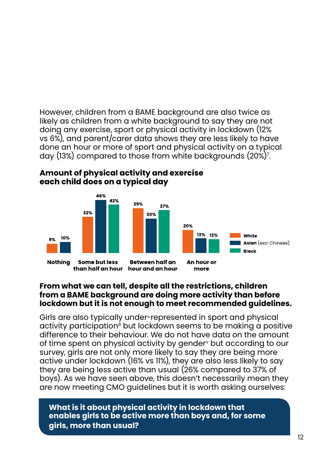However, children from a BAME background are also twice as likely as children from a white background to say they are not doing any exercise, sport or physical activity in lockdown (12% vs 6%), and parent/carer data shows they are less likely to have done an hour or more of sport and physical activity on a typical day (13%) compared to those from white backgrounds (20%)'.



### Amount of physical activity and exercise each child does on a typical day

#### **From what we can tell, despite all the restrictions, children from a BAME background are doing more activity than before lockdown but it is not enough to meet recommended guidelines.**

Girls are also typically under-represented in sport and physical activity participation<sup>8</sup> but lockdown seems to be making a positive difference to their behaviour. We do not have data on the amount of time spent on physical activity by gender<sup>v</sup> but according to our survey, girls are not only more likely to say they are being more active under lockdown (16% vs 11%), they are also less likely to say they are being less active than usual (26% compared to 37% of boys). As we have seen above, this doesn't necessarily mean they are now meeting CMO guidelines but it is worth asking ourselves:

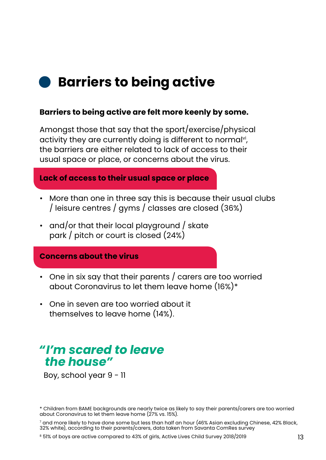## **Barriers to being active**

#### **Barriers to being active are felt more keenly by some.**

Amongst those that say that the sport/exercise/physical activity they are currently doing is different to normal<sup>vi</sup>, the barriers are either related to lack of access to their usual space or place, or concerns about the virus.

#### **Lack of access to their usual space or place**

- More than one in three say this is because their usual clubs / leisure centres / gyms / classes are closed (36%)
- and/or that their local playground / skate park / pitch or court is closed (24%)

#### **Concerns about the virus**

- One in six say that their parents / carers are too worried about Coronavirus to let them leave home (16%)\*
- One in seven are too worried about it themselves to leave home (14%).

### *"I'm scared to leave the house"*

Boy, school year 9 - 11

<sup>\*</sup> Children from BAME backgrounds are nearly twice as likely to say their parents/carers are too worried about Coronavirus to let them leave home (27% vs. 15%).

 $^\prime$  and more likely to have done some but less than half an hour (46% Asian excluding Chinese, 42% Black, 32% white), according to their parents/carers, data taken from Savanta ComRes survey

<sup>8 51%</sup> of boys are active compared to 43% of girls, Active Lives Child Survey 2018/2019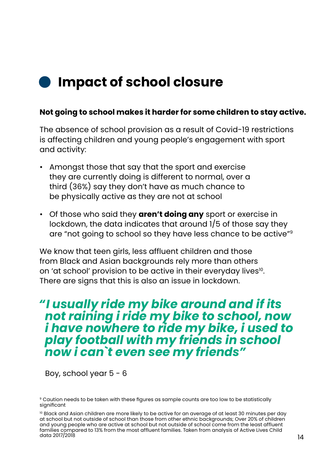## **Impact of school closure**

### **Not going to school makes it harder for some children to stay active.**

The absence of school provision as a result of Covid-19 restrictions is affecting children and young people's engagement with sport and activity:

- Amongst those that say that the sport and exercise they are currently doing is different to normal, over a third (36%) say they don't have as much chance to be physically active as they are not at school
- Of those who said they **aren't doing any** sport or exercise in lockdown, the data indicates that around 1/5 of those say they are "not going to school so they have less chance to be active"9

We know that teen girls, less affluent children and those from Black and Asian backgrounds rely more than others on 'at school' provision to be active in their everyday lives<sup>10</sup>. There are signs that this is also an issue in lockdown.

### *"I usually ride my bike around and if its not raining i ride my bike to school, now i have nowhere to ride my bike, i used to play football with my friends in school now i can`t even see my friends"*

Boy, school year  $5 - 6$ 

<sup>&</sup>lt;sup>9</sup> Caution needs to be taken with these figures as sample counts are too low to be statistically significant

<sup>&</sup>lt;sup>10</sup> Black and Asian children are more likely to be active for an average of at least 30 minutes per day at school but not outside of school than those from other ethnic backgrounds; Over 20% of children and young people who are active at school but not outside of school come from the least affluent families compared to 13% from the most affluent families. Taken from analysis of Active Lives Child data 2017/2018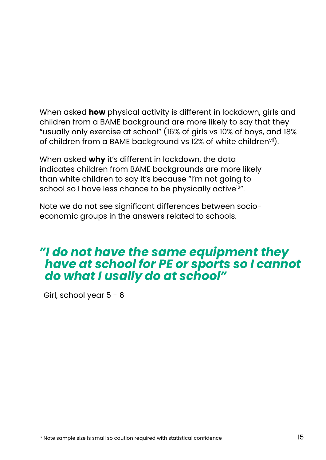When asked **how** physical activity is different in lockdown, girls and children from a BAME background are more likely to say that they "usually only exercise at school" (16% of girls vs 10% of boys, and 18% of children from a BAME background vs 12% of white children<sup>vii</sup>).

When asked **why** it's different in lockdown, the data indicates children from BAME backgrounds are more likely than white children to say it's because "I'm not going to school so I have less chance to be physically active<sup>12"</sup>.

Note we do not see significant differences between socioeconomic groups in the answers related to schools.

### *"I do not have the same equipment they have at school for PE or sports so I cannot do what I usally do at school"*

Girl, school year  $5 - 6$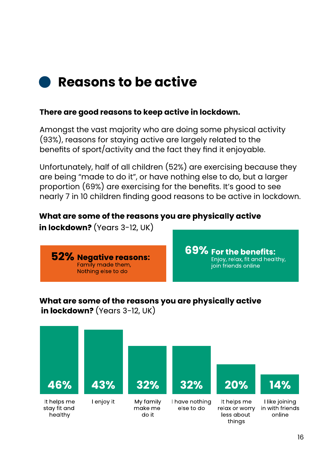

### **There are good reasons to keep active in lockdown.**

Amongst the vast majority who are doing some physical activity (93%), reasons for staying active are largely related to the benefits of sport/activity and the fact they find it enjoyable.

Unfortunately, half of all children (52%) are exercising because they are being "made to do it", or have nothing else to do, but a larger proportion (69%) are exercising for the benefits. It's good to see nearly 7 in 10 children finding good reasons to be active in lockdown.

### What are some of the reasons you are physically active

in lockdown?  $(Years 3-12, UK)$ 



69% For the benefits: Enjoy, relax, fit and healthy, join friends online

### What are some of the reasons you are physically active in lockdown?  $(Years 3-12, UK)$

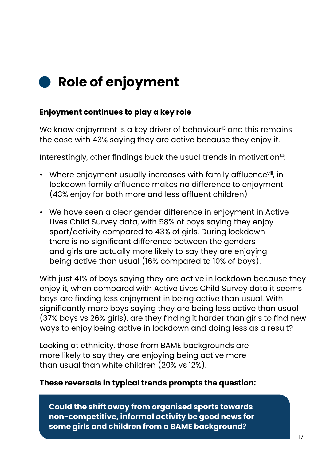# **Role of enjoyment**

### **Enjoyment continues to play a key role**

We know enjoyment is a key driver of behaviour<sup>13</sup> and this remains the case with 43% saying they are active because they enjoy it.

Interestingly, other findings buck the usual trends in motivation $14$ :

- Where enjoyment usually increases with family affluence<sup>viii</sup>, in lockdown family affluence makes no difference to enjoyment (43% enjoy for both more and less affluent children)
- We have seen a clear gender difference in enjoyment in Active Lives Child Survey data, with 58% of boys saying they enjoy sport/activity compared to 43% of girls. During lockdown there is no significant difference between the genders and girls are actually more likely to say they are enjoying being active than usual (16% compared to 10% of boys).

With just 41% of boys saying they are active in lockdown because they enjoy it, when compared with Active Lives Child Survey data it seems boys are finding less enjoyment in being active than usual. With significantly more boys saying they are being less active than usual (37% boys vs 26% girls), are they finding it harder than girls to find new ways to enjoy being active in lockdown and doing less as a result?

Looking at ethnicity, those from BAME backgrounds are more likely to say they are enjoying being active more than usual than white children (20% vs 12%).

### **These reversals in typical trends prompts the question:**

**Could the shift away from organised sports towards non-competitive, informal activity be good news for some girls and children from a BAME background?**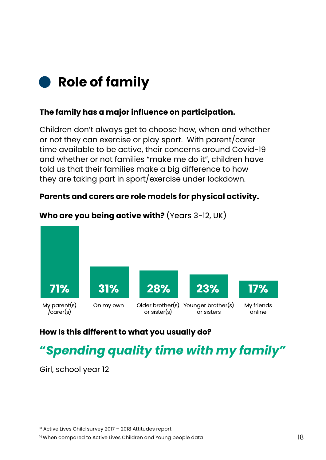

### **The family has a major influence on participation.**

Children don't always get to choose how, when and whether or not they can exercise or play sport. With parent/carer time available to be active, their concerns around Covid-19 and whether or not families "make me do it", children have told us that their families make a big difference to how they are taking part in sport/exercise under lockdown.

#### **Parents and carers are role models for physical activity.**



#### Who are you being active with? (Years  $3-12$ , UK)

### **How Is this different to what you usually do?**

# *"Spending quality time with my family"*

Girl, school year 12

<sup>13</sup> Active Lives Child survey 2017 - 2018 Attitudes report

<sup>&</sup>lt;sup>14</sup> When compared to Active Lives Children and Young people data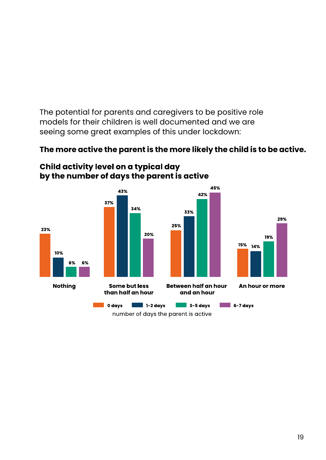The potential for parents and caregivers to be positive role models for their children is well documented and we are seeing some great examples of this under lockdown:

### **The more active the parent is the more likely the child is to be active.**



Child activity level on a typical day by the number of days the parent is active

number of days the parent is active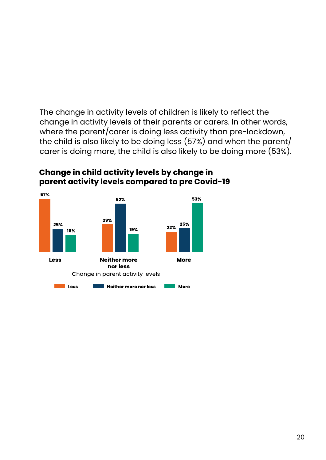The change in activity levels of children is likely to reflect the change in activity levels of their parents or carers. In other words, where the parent/carer is doing less activity than pre-lockdown, the child is also likely to be doing less (57%) and when the parent/ carer is doing more, the child is also likely to be doing more (53%).



### Change in child activity levels by change in parent activity levels compared to pre Covid-19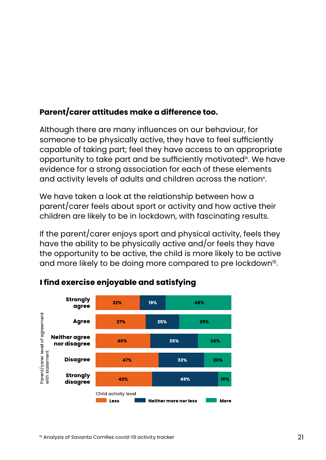### **Parent/carer attitudes make a difference too.**

Although there are many influences on our behaviour, for someone to be physically active, they have to feel sufficiently capable of taking part; feel they have access to an appropriate opportunity to take part and be sufficiently motivatedix. We have evidence for a strong association for each of these elements and activity levels of adults and children across the nation $^\text{x}\!.$ 

We have taken a look at the relationship between how a parent/carer feels about sport or activity and how active their children are likely to be in lockdown, with fascinating results.

If the parent/carer enjoys sport and physical activity, feels they have the ability to be physically active and/or feels they have the opportunity to be active, the child is more likely to be active and more likely to be doing more compared to pre lockdown<sup>15</sup>.



### I find exercise enjoyable and satisfying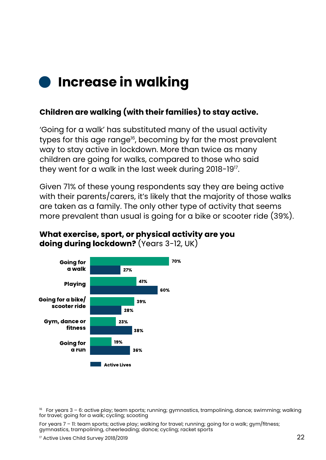# **Increase in walking**

### **Children are walking (with their families) to stay active.**

'Going for a walk' has substituted many of the usual activity types for this age range<sup>16</sup>, becoming by far the most prevalent way to stay active in lockdown. More than twice as many children are going for walks, compared to those who said they went for a walk in the last week during 2018-19<sup>17</sup>.

Given 71% of these young respondents say they are being active with their parents/carers, it's likely that the majority of those walks are taken as a family. The only other type of activity that seems more prevalent than usual is going for a bike or scooter ride (39%).



#### What exercise, sport, or physical activity are you doing during lockdown? (Years 3-12, UK)

 $16$  For years 3 – 6: active play; team sports; running; gymnastics, trampolining, dance; swimming; walking for travel; going for a walk; cycling; scooting

For years 7 – 11: team sports; active play; walking for travel; running; going for a walk; gym/fitness; gymnastics, trampolining, cheerleading; dance; cycling; racket sports

<sup>17</sup> Active Lives Child Survey 2018/2019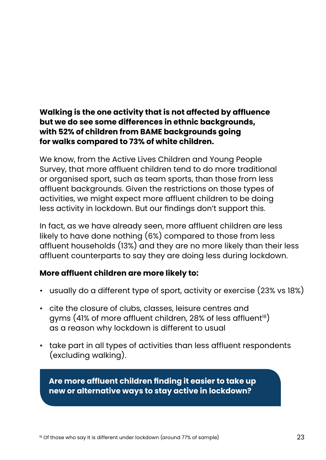### **Walking is the one activity that is not affected by affluence but we do see some differences in ethnic backgrounds, with 52% of children from BAME backgrounds going for walks compared to 73% of white children.**

We know, from the Active Lives Children and Young People Survey, that more affluent children tend to do more traditional or organised sport, such as team sports, than those from less affluent backgrounds. Given the restrictions on those types of activities, we might expect more affluent children to be doing less activity in lockdown. But our findings don't support this.

In fact, as we have already seen, more affluent children are less likely to have done nothing (6%) compared to those from less affluent households (13%) and they are no more likely than their less affluent counterparts to say they are doing less during lockdown.

### **More affluent children are more likely to:**

- usually do a different type of sport, activity or exercise (23% vs 18%)
- cite the closure of clubs, classes, leisure centres and gyms (41% of more affluent children, 28% of less affluent<sup>18</sup>) as a reason why lockdown is different to usual
- take part in all types of activities than less affluent respondents (excluding walking).

**Are more affluent children finding it easier to take up new or alternative ways to stay active in lockdown?**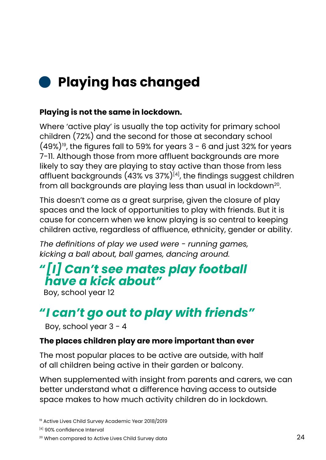# **Playing has changed**

### **Playing is not the same in lockdown.**

Where 'active play' is usually the top activity for primary school children (72%) and the second for those at secondary school  $(49\%)$ <sup>19</sup>, the figures fall to 59% for years  $3$  - 6 and just 32% for years 7-11. Although those from more affluent backgrounds are more likely to say they are playing to stay active than those from less affluent backgrounds  $(43\% \text{ vs } 37\%)^{[4]}$ , the findings suggest children from all backgrounds are playing less than usual in lockdown<sup>20</sup>.

This doesn't come as a great surprise, given the closure of play spaces and the lack of opportunities to play with friends. But it is cause for concern when we know playing is so central to keeping children active, regardless of affluence, ethnicity, gender or ability.

*The definitions of play we used were - running games, kicking a ball about, ball games, dancing around.*

### *"[I] Can't see mates play football have a kick about"*

Boy, school year 12

### *"I can't go out to play with friends"*

Boy, school year 3 - 4

### **The places children play are more important than ever**

The most popular places to be active are outside, with half of all children being active in their garden or balcony.

When supplemented with insight from parents and carers, we can better understand what a difference having access to outside space makes to how much activity children do in lockdown.

<sup>19</sup> Active Lives Child Survey Academic Year 2018/2019

[4] 90% confidence Interval

20 When compared to Active Lives Child Survey data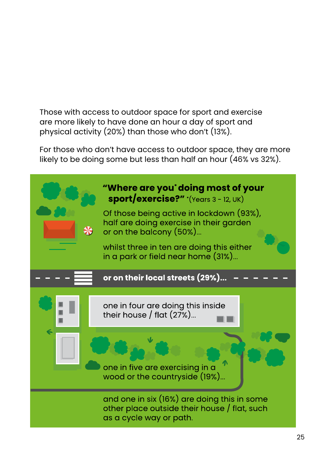Those with access to outdoor space for sport and exercise are more likely to have done an hour a day of sport and physical activity (20%) than those who don't (13%).

For those who don't have access to outdoor space, they are more likely to be doing some but less than half an hour (46% vs 32%).

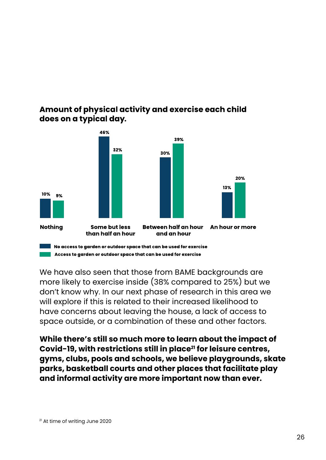



We have also seen that those from BAME backgrounds are more likely to exercise inside (38% compared to 25%) but we don't know why. In our next phase of research in this area we will explore if this is related to their increased likelihood to have concerns about leaving the house, a lack of access to space outside, or a combination of these and other factors.

**While there's still so much more to learn about the impact of**  Covid-19, with restrictions still in place<sup>21</sup> for leisure centres, **gyms, clubs, pools and schools, we believe playgrounds, skate parks, basketball courts and other places that facilitate play and informal activity are more important now than ever.**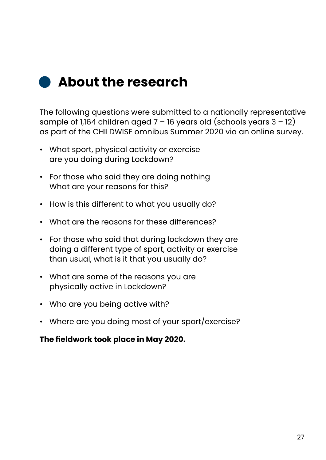

The following questions were submitted to a nationally representative sample of 1,164 children aged  $7 - 16$  years old (schools years  $3 - 12$ ) as part of the CHILDWISE omnibus Summer 2020 via an online survey.

- What sport, physical activity or exercise are you doing during Lockdown?
- For those who said they are doing nothing What are your reasons for this?
- How is this different to what you usually do?
- What are the reasons for these differences?
- For those who said that during lockdown they are doing a different type of sport, activity or exercise than usual, what is it that you usually do?
- What are some of the reasons you are physically active in Lockdown?
- Who are you being active with?
- Where are you doing most of your sport/exercise?

### **The fieldwork took place in May 2020.**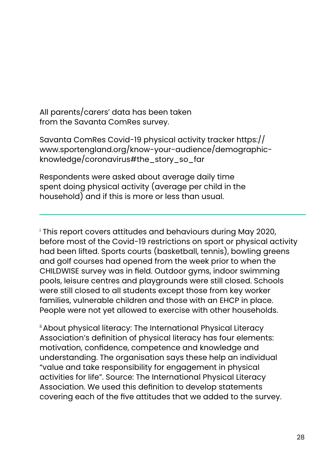All parents/carers' data has been taken from the Savanta ComRes survey.

Savanta ComRes Covid-19 physical activity tracker https:// www.sportengland.org/know-your-audience/demographicknowledge/coronavirus#the\_story\_so\_far

Respondents were asked about average daily time spent doing physical activity (average per child in the household) and if this is more or less than usual.

i This report covers attitudes and behaviours during May 2020, before most of the Covid-19 restrictions on sport or physical activity had been lifted. Sports courts (basketball, tennis), bowling greens and golf courses had opened from the week prior to when the CHILDWISE survey was in field. Outdoor gyms, indoor swimming pools, leisure centres and playgrounds were still closed. Schools were still closed to all students except those from key worker families, vulnerable children and those with an EHCP in place. People were not yet allowed to exercise with other households.

ii About physical literacy: The International Physical Literacy Association's definition of physical literacy has four elements: motivation, confidence, competence and knowledge and understanding. The organisation says these help an individual "value and take responsibility for engagement in physical activities for life". Source: The International Physical Literacy Association. We used this definition to develop statements covering each of the five attitudes that we added to the survey.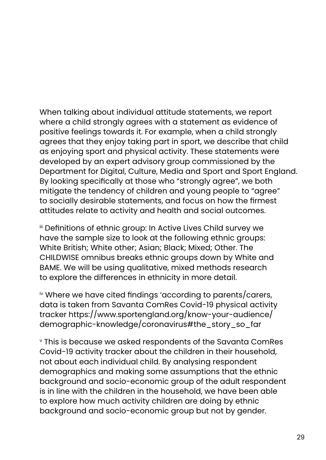When talking about individual attitude statements, we report where a child strongly agrees with a statement as evidence of positive feelings towards it. For example, when a child strongly agrees that they enjoy taking part in sport, we describe that child as enjoying sport and physical activity. These statements were developed by an expert advisory group commissioned by the Department for Digital, Culture, Media and Sport and Sport England. By looking specifically at those who "strongly agree", we both mitigate the tendency of children and young people to "agree" to socially desirable statements, and focus on how the firmest attitudes relate to activity and health and social outcomes.

iii Definitions of ethnic group: In Active Lives Child survey we have the sample size to look at the following ethnic groups: White British; White other; Asian; Black; Mixed; Other. The CHILDWISE omnibus breaks ethnic groups down by White and BAME. We will be using qualitative, mixed methods research to explore the differences in ethnicity in more detail.

iv Where we have cited findings 'according to parents/carers, data is taken from Savanta ComRes Covid-19 physical activity tracker https://www.sportengland.org/know-your-audience/ demographic-knowledge/coronavirus#the\_story\_so\_far

v This is because we asked respondents of the Savanta ComRes Covid-19 activity tracker about the children in their household, not about each individual child. By analysing respondent demographics and making some assumptions that the ethnic background and socio-economic group of the adult respondent is in line with the children in the household, we have been able to explore how much activity children are doing by ethnic background and socio-economic group but not by gender.